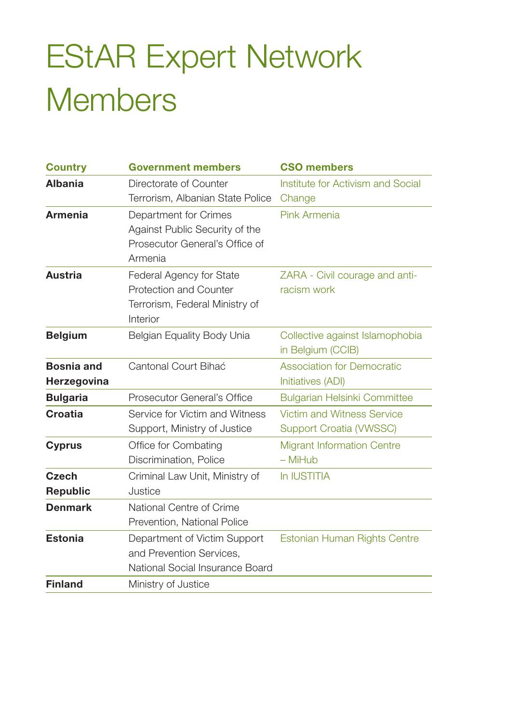## EStAR Expert Network **Members**

| <b>Country</b>    | <b>Government members</b>        | <b>CSO members</b>                  |
|-------------------|----------------------------------|-------------------------------------|
| <b>Albania</b>    | Directorate of Counter           | Institute for Activism and Social   |
|                   | Terrorism, Albanian State Police | Change                              |
| <b>Armenia</b>    | Department for Crimes            | Pink Armenia                        |
|                   | Against Public Security of the   |                                     |
|                   | Prosecutor General's Office of   |                                     |
|                   | Armenia                          |                                     |
| <b>Austria</b>    | Federal Agency for State         | ZARA - Civil courage and anti-      |
|                   | Protection and Counter           | racism work                         |
|                   | Terrorism, Federal Ministry of   |                                     |
|                   | Interior                         |                                     |
| <b>Belgium</b>    | Belgian Equality Body Unia       | Collective against Islamophobia     |
|                   |                                  | in Belgium (CCIB)                   |
| <b>Bosnia and</b> | Cantonal Court Bihać             | <b>Association for Democratic</b>   |
| Herzegovina       |                                  | Initiatives (ADI)                   |
| <b>Bulgaria</b>   | Prosecutor General's Office      | <b>Bulgarian Helsinki Committee</b> |
| Croatia           | Service for Victim and Witness   | <b>Victim and Witness Service</b>   |
|                   | Support, Ministry of Justice     | <b>Support Croatia (VWSSC)</b>      |
| <b>Cyprus</b>     | Office for Combating             | <b>Migrant Information Centre</b>   |
|                   | Discrimination, Police           | - MiHub                             |
| <b>Czech</b>      | Criminal Law Unit, Ministry of   | In IUSTITIA                         |
| Republic          | Justice                          |                                     |
| <b>Denmark</b>    | National Centre of Crime         |                                     |
|                   | Prevention, National Police      |                                     |
| <b>Estonia</b>    | Department of Victim Support     | Estonian Human Rights Centre        |
|                   | and Prevention Services,         |                                     |
|                   | National Social Insurance Board  |                                     |
| <b>Finland</b>    | Ministry of Justice              |                                     |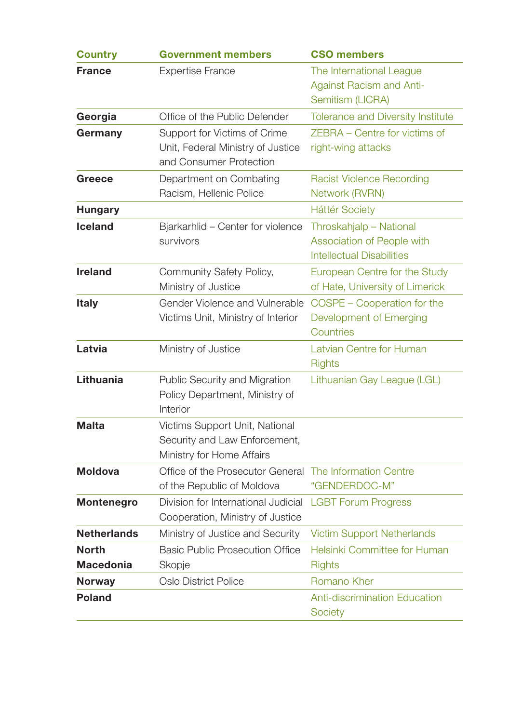| <b>Government members</b>                                                                    | <b>CSO members</b>                                                                        |
|----------------------------------------------------------------------------------------------|-------------------------------------------------------------------------------------------|
| <b>Expertise France</b>                                                                      | The International League<br><b>Against Racism and Anti-</b><br>Semitism (LICRA)           |
| Office of the Public Defender                                                                | Tolerance and Diversity Institute                                                         |
| Support for Victims of Crime<br>Unit, Federal Ministry of Justice<br>and Consumer Protection | ZEBRA - Centre for victims of<br>right-wing attacks                                       |
| Department on Combating<br>Racism, Hellenic Police                                           | <b>Racist Violence Recording</b><br>Network (RVRN)                                        |
|                                                                                              | <b>Háttér Society</b>                                                                     |
| Bjarkarhlid - Center for violence<br>survivors                                               | Throskahjalp - National<br>Association of People with<br><b>Intellectual Disabilities</b> |
| Community Safety Policy,<br>Ministry of Justice                                              | European Centre for the Study<br>of Hate, University of Limerick                          |
| Gender Violence and Vulnerable<br>Victims Unit, Ministry of Interior                         | COSPE - Cooperation for the<br>Development of Emerging<br>Countries                       |
| Ministry of Justice                                                                          | Latvian Centre for Human<br><b>Rights</b>                                                 |
| Public Security and Migration<br>Policy Department, Ministry of<br>Interior                  | Lithuanian Gay League (LGL)                                                               |
| Victims Support Unit, National<br>Security and Law Enforcement,<br>Ministry for Home Affairs |                                                                                           |
| Office of the Prosecutor General The Information Centre<br>of the Republic of Moldova        | "GENDERDOC-M"                                                                             |
| Division for International Judicial<br>Cooperation, Ministry of Justice                      | <b>LGBT Forum Progress</b>                                                                |
| Ministry of Justice and Security                                                             | <b>Victim Support Netherlands</b>                                                         |
| <b>Basic Public Prosecution Office</b>                                                       | Helsinki Committee for Human<br><b>Rights</b>                                             |
| Oslo District Police                                                                         | Romano Kher                                                                               |
|                                                                                              | <b>Anti-discrimination Education</b><br>Society                                           |
|                                                                                              | Skopje                                                                                    |